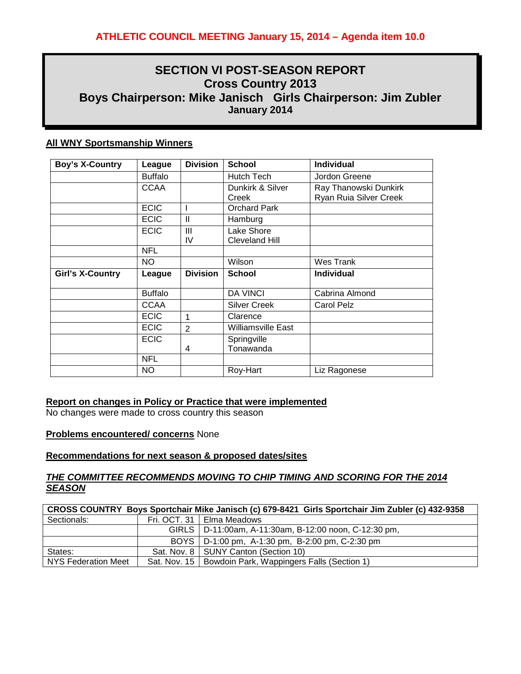# **SECTION VI POST-SEASON REPORT Cross Country 2013 Boys Chairperson: Mike Janisch Girls Chairperson: Jim Zubler January 2014**

# **All WNY Sportsmanship Winners**

| <b>Boy's X-Country</b>  | League         | <b>Division</b> | <b>School</b>                       | <b>Individual</b>                               |
|-------------------------|----------------|-----------------|-------------------------------------|-------------------------------------------------|
|                         | <b>Buffalo</b> |                 | <b>Hutch Tech</b>                   | Jordon Greene                                   |
|                         | <b>CCAA</b>    |                 | Dunkirk & Silver<br>Creek           | Ray Thanowski Dunkirk<br>Ryan Ruia Silver Creek |
|                         | <b>ECIC</b>    |                 | <b>Orchard Park</b>                 |                                                 |
|                         | <b>ECIC</b>    | $\mathbf{I}$    | Hamburg                             |                                                 |
|                         | <b>ECIC</b>    | III<br>IV       | Lake Shore<br><b>Cleveland Hill</b> |                                                 |
|                         | <b>NFL</b>     |                 |                                     |                                                 |
|                         | NO.            |                 | Wilson                              | Wes Trank                                       |
| <b>Girl's X-Country</b> | League         | <b>Division</b> | <b>School</b>                       | <b>Individual</b>                               |
|                         | <b>Buffalo</b> |                 | <b>DA VINCI</b>                     | Cabrina Almond                                  |
|                         | <b>CCAA</b>    |                 | <b>Silver Creek</b>                 | <b>Carol Pelz</b>                               |
|                         | <b>ECIC</b>    | 1               | Clarence                            |                                                 |
|                         | <b>ECIC</b>    | $\overline{2}$  | <b>Williamsville East</b>           |                                                 |
|                         | <b>ECIC</b>    | 4               | Springville<br>Tonawanda            |                                                 |
|                         | <b>NFL</b>     |                 |                                     |                                                 |
|                         | NO.            |                 | Roy-Hart                            | Liz Ragonese                                    |

#### **Report on changes in Policy or Practice that were implemented**

No changes were made to cross country this season

#### **Problems encountered/ concerns** None

## **Recommendations for next season & proposed dates/sites**

## *THE COMMITTEE RECOMMENDS MOVING TO CHIP TIMING AND SCORING FOR THE 2014 SEASON*

| CROSS COUNTRY Boys Sportchair Mike Janisch (c) 679-8421 Girls Sportchair Jim Zubler (c) 432-9358 |  |                                                           |  |  |
|--------------------------------------------------------------------------------------------------|--|-----------------------------------------------------------|--|--|
| Sectionals:                                                                                      |  | Fri. OCT. 31   Elma Meadows                               |  |  |
|                                                                                                  |  | GIRLS   D-11:00am, A-11:30am, B-12:00 noon, C-12:30 pm,   |  |  |
|                                                                                                  |  | BOYS   D-1:00 pm, A-1:30 pm, B-2:00 pm, C-2:30 pm         |  |  |
| States:                                                                                          |  | Sat. Nov. 8   SUNY Canton (Section 10)                    |  |  |
| NYS Federation Meet                                                                              |  | Sat. Nov. 15   Bowdoin Park, Wappingers Falls (Section 1) |  |  |